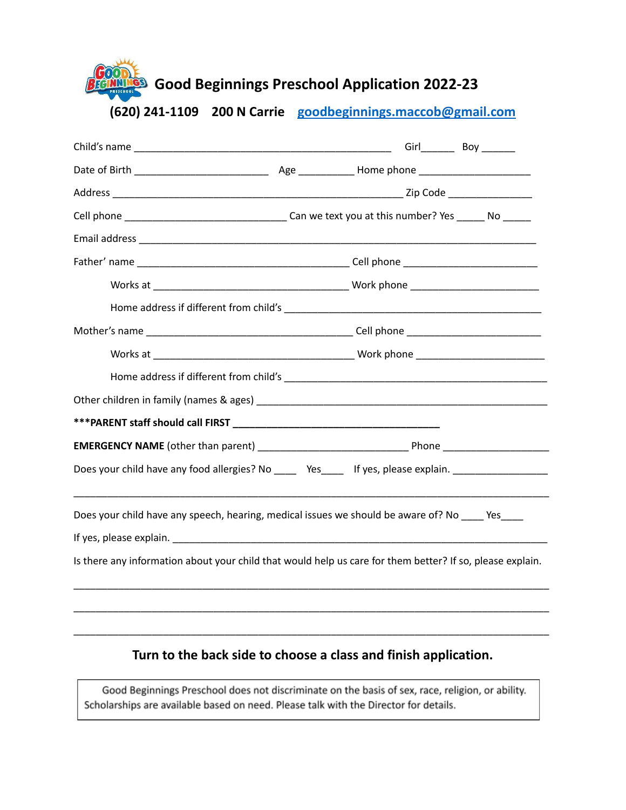**Good Beginnings Preschool Application 2022-23**

**(620) 241-1109 200 N Carrie [goodbeginnings.maccob@gmail.com](mailto:goodbeginnings.maccob@gmail.com)**

| Does your child have any food allergies? No _____ Yes_____ If yes, please explain. ________________       |  |  |
|-----------------------------------------------------------------------------------------------------------|--|--|
| Does your child have any speech, hearing, medical issues we should be aware of? No _____ Yes              |  |  |
|                                                                                                           |  |  |
| Is there any information about your child that would help us care for them better? If so, please explain. |  |  |
|                                                                                                           |  |  |
|                                                                                                           |  |  |
|                                                                                                           |  |  |

## **Turn to the back side to choose a class and finish application.**

Good Beginnings Preschool does not discriminate on the basis of sex, race, religion, or ability. Scholarships are available based on need. Please talk with the Director for details.